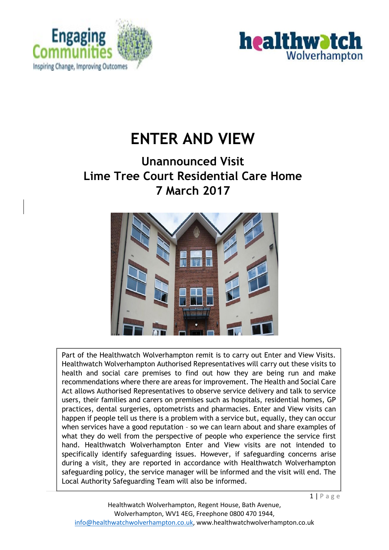



# **ENTER AND VIEW**

## **Unannounced Visit Lime Tree Court Residential Care Home 7 March 2017**



Part of the Healthwatch Wolverhampton remit is to carry out Enter and View Visits. Healthwatch Wolverhampton Authorised Representatives will carry out these visits to health and social care premises to find out how they are being run and make recommendations where there are areas for improvement. The Health and Social Care Act allows Authorised Representatives to observe service delivery and talk to service users, their families and carers on premises such as hospitals, residential homes, GP practices, dental surgeries, optometrists and pharmacies. Enter and View visits can happen if people tell us there is a problem with a service but, equally, they can occur when services have a good reputation – so we can learn about and share examples of what they do well from the perspective of people who experience the service first hand. Healthwatch Wolverhampton Enter and View visits are not intended to specifically identify safeguarding issues. However, if safeguarding concerns arise during a visit, they are reported in accordance with Healthwatch Wolverhampton safeguarding policy, the service manager will be informed and the visit will end. The Local Authority Safeguarding Team will also be informed.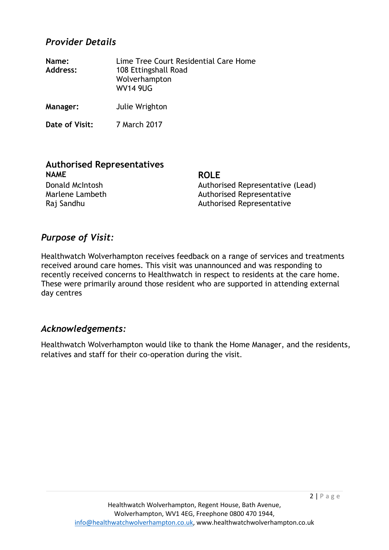#### *Provider Details*

| Name:<br><b>Address:</b> | Lime Tree Court Residential Care Home<br>108 Ettingshall Road<br>Wolverhampton<br><b>WV14 9UG</b> |
|--------------------------|---------------------------------------------------------------------------------------------------|
| Manager:                 | Julie Wrighton                                                                                    |

**Date of Visit:** 7 March 2017

## **Authorised Representatives NAME ROLE**

Donald McIntosh **Authorised Representative (Lead)** 

Marlene Lambeth Authorised Representative Raj Sandhu Authorised Representative

#### *Purpose of Visit:*

Healthwatch Wolverhampton receives feedback on a range of services and treatments received around care homes. This visit was unannounced and was responding to recently received concerns to Healthwatch in respect to residents at the care home. These were primarily around those resident who are supported in attending external day centres

#### *Acknowledgements:*

Healthwatch Wolverhampton would like to thank the Home Manager, and the residents, relatives and staff for their co-operation during the visit.

 $2 | P \text{ a g e}$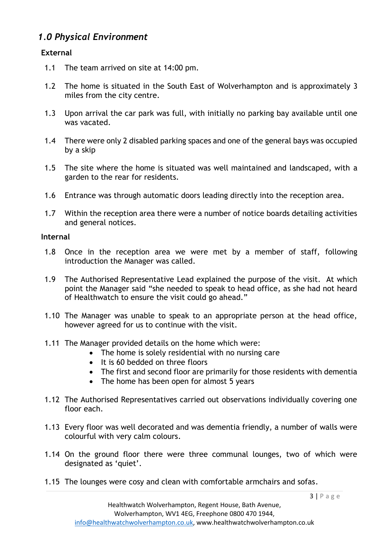#### *1.0 Physical Environment*

#### **External**

- 1.1 The team arrived on site at 14:00 pm.
- 1.2 The home is situated in the South East of Wolverhampton and is approximately 3 miles from the city centre.
- 1.3 Upon arrival the car park was full, with initially no parking bay available until one was vacated.
- 1.4 There were only 2 disabled parking spaces and one of the general bays was occupied by a skip
- 1.5 The site where the home is situated was well maintained and landscaped, with a garden to the rear for residents.
- 1.6 Entrance was through automatic doors leading directly into the reception area.
- 1.7 Within the reception area there were a number of notice boards detailing activities and general notices.

#### **Internal**

- 1.8 Once in the reception area we were met by a member of staff, following introduction the Manager was called.
- 1.9 The Authorised Representative Lead explained the purpose of the visit. At which point the Manager said "she needed to speak to head office, as she had not heard of Healthwatch to ensure the visit could go ahead."
- 1.10 The Manager was unable to speak to an appropriate person at the head office, however agreed for us to continue with the visit.
- 1.11 The Manager provided details on the home which were:
	- The home is solely residential with no nursing care
	- It is 60 bedded on three floors
	- The first and second floor are primarily for those residents with dementia
	- The home has been open for almost 5 years
- 1.12 The Authorised Representatives carried out observations individually covering one floor each.
- 1.13 Every floor was well decorated and was dementia friendly, a number of walls were colourful with very calm colours.
- 1.14 On the ground floor there were three communal lounges, two of which were designated as 'quiet'.
- 1.15 The lounges were cosy and clean with comfortable armchairs and sofas.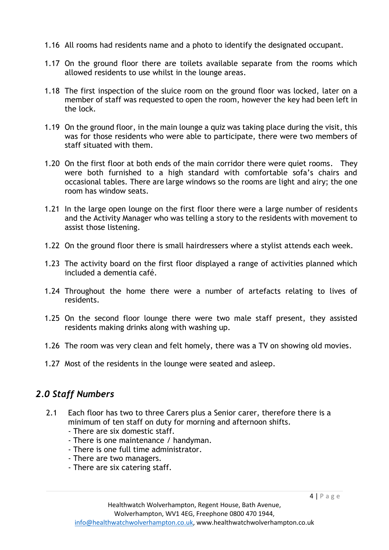- 1.16 All rooms had residents name and a photo to identify the designated occupant.
- 1.17 On the ground floor there are toilets available separate from the rooms which allowed residents to use whilst in the lounge areas.
- 1.18 The first inspection of the sluice room on the ground floor was locked, later on a member of staff was requested to open the room, however the key had been left in the lock.
- 1.19 On the ground floor, in the main lounge a quiz was taking place during the visit, this was for those residents who were able to participate, there were two members of staff situated with them.
- 1.20 On the first floor at both ends of the main corridor there were quiet rooms. They were both furnished to a high standard with comfortable sofa's chairs and occasional tables. There are large windows so the rooms are light and airy; the one room has window seats.
- 1.21 In the large open lounge on the first floor there were a large number of residents and the Activity Manager who was telling a story to the residents with movement to assist those listening.
- 1.22 On the ground floor there is small hairdressers where a stylist attends each week.
- 1.23 The activity board on the first floor displayed a range of activities planned which included a dementia café.
- 1.24 Throughout the home there were a number of artefacts relating to lives of residents.
- 1.25 On the second floor lounge there were two male staff present, they assisted residents making drinks along with washing up.
- 1.26 The room was very clean and felt homely, there was a TV on showing old movies.
- 1.27 Most of the residents in the lounge were seated and asleep.

### *2.0 Staff Numbers*

- 2.1 Each floor has two to three Carers plus a Senior carer, therefore there is a minimum of ten staff on duty for morning and afternoon shifts.
	- There are six domestic staff.
	- There is one maintenance / handyman.
	- There is one full time administrator.
	- There are two managers.
	- There are six catering staff.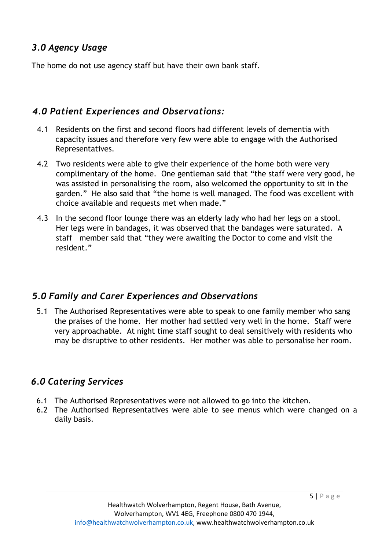#### *3.0 Agency Usage*

The home do not use agency staff but have their own bank staff.

#### *4.0 Patient Experiences and Observations:*

- 4.1 Residents on the first and second floors had different levels of dementia with capacity issues and therefore very few were able to engage with the Authorised Representatives.
- 4.2 Two residents were able to give their experience of the home both were very complimentary of the home. One gentleman said that "the staff were very good, he was assisted in personalising the room, also welcomed the opportunity to sit in the garden." He also said that "the home is well managed. The food was excellent with choice available and requests met when made."
- 4.3 In the second floor lounge there was an elderly lady who had her legs on a stool. Her legs were in bandages, it was observed that the bandages were saturated. A staff member said that "they were awaiting the Doctor to come and visit the resident."

#### *5.0 Family and Carer Experiences and Observations*

5.1 The Authorised Representatives were able to speak to one family member who sang the praises of the home. Her mother had settled very well in the home. Staff were very approachable. At night time staff sought to deal sensitively with residents who may be disruptive to other residents. Her mother was able to personalise her room.

#### *6.0 Catering Services*

- 6.1 The Authorised Representatives were not allowed to go into the kitchen.
- 6.2 The Authorised Representatives were able to see menus which were changed on a daily basis.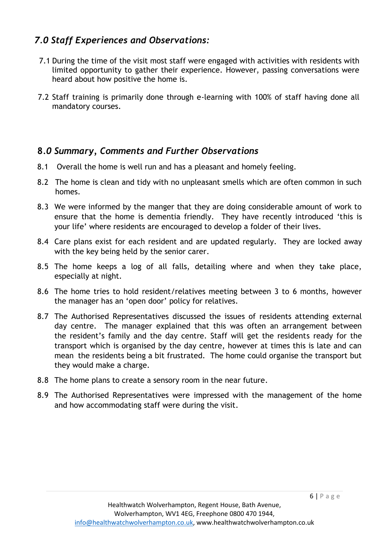#### *7.0 Staff Experiences and Observations:*

- 7.1 During the time of the visit most staff were engaged with activities with residents with limited opportunity to gather their experience. However, passing conversations were heard about how positive the home is.
- 7.2 Staff training is primarily done through e-learning with 100% of staff having done all mandatory courses.

#### **8***.0 Summary, Comments and Further Observations*

- 8.1 Overall the home is well run and has a pleasant and homely feeling.
- 8.2 The home is clean and tidy with no unpleasant smells which are often common in such homes.
- 8.3 We were informed by the manger that they are doing considerable amount of work to ensure that the home is dementia friendly. They have recently introduced 'this is your life' where residents are encouraged to develop a folder of their lives.
- 8.4 Care plans exist for each resident and are updated regularly. They are locked away with the key being held by the senior carer.
- 8.5 The home keeps a log of all falls, detailing where and when they take place, especially at night.
- 8.6 The home tries to hold resident/relatives meeting between 3 to 6 months, however the manager has an 'open door' policy for relatives.
- 8.7 The Authorised Representatives discussed the issues of residents attending external day centre. The manager explained that this was often an arrangement between the resident's family and the day centre. Staff will get the residents ready for the transport which is organised by the day centre, however at times this is late and can mean the residents being a bit frustrated. The home could organise the transport but they would make a charge.
- 8.8 The home plans to create a sensory room in the near future.
- 8.9 The Authorised Representatives were impressed with the management of the home and how accommodating staff were during the visit.